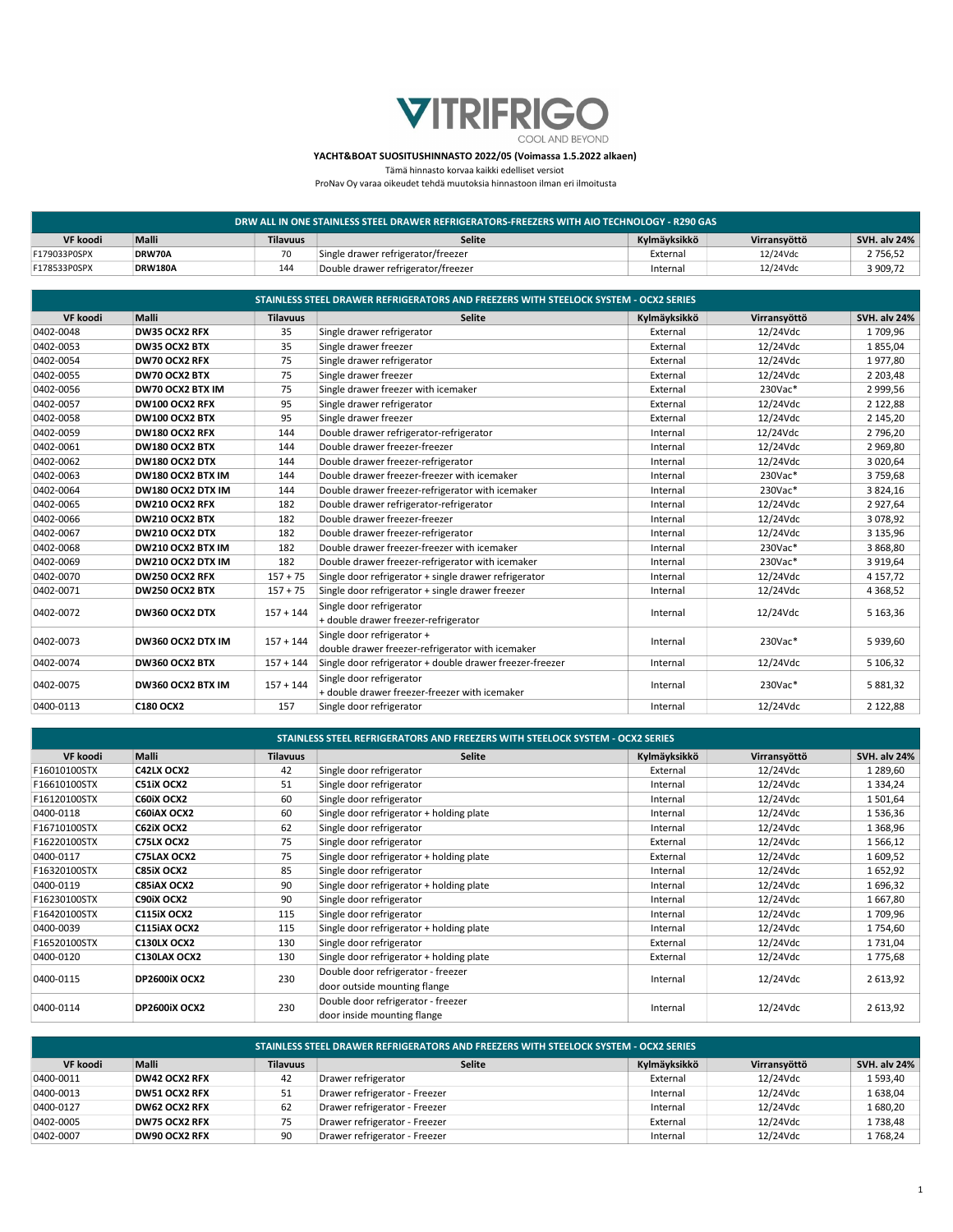## **VITRIFRIGO** COOL AND BEYOND

## YACHT&BOAT SUOSITUSHINNASTO 2022/05 (Voimassa 1.5.2022 alkaen)

Tämä hinnasto korvaa kaikki edelliset versiot

ProNav Oy varaa oikeudet tehdä muutoksia hinnastoon ilman eri ilmoitusta

| DRW ALL IN ONE STAINLESS STEEL DRAWER REFRIGERATORS-FREEZERS WITH AIO TECHNOLOGY - R290 GAS |                |                 |                                    |              |              |                     |  |
|---------------------------------------------------------------------------------------------|----------------|-----------------|------------------------------------|--------------|--------------|---------------------|--|
| VF koodi                                                                                    | <b>Malli</b>   | <b>Tilavuus</b> | <b>Selite</b>                      | Kylmäyksikkö | Virransvöttö | <b>SVH. alv 24%</b> |  |
| F179033P0SPX                                                                                | DRW70A         | 70              | Single drawer refrigerator/freezer | External     | 12/24Vdc     | 2 756,52            |  |
| F178533P0SPX                                                                                | <b>DRW180A</b> | 144             | Double drawer refrigerator/freezer | Internal     | 12/24Vdc     | 3 909.72            |  |

| STAINLESS STEEL DRAWER REFRIGERATORS AND FREEZERS WITH STEELOCK SYSTEM - OCX2 SERIES |                       |                 |                                                                                |              |              |                     |  |  |
|--------------------------------------------------------------------------------------|-----------------------|-----------------|--------------------------------------------------------------------------------|--------------|--------------|---------------------|--|--|
| VF koodi                                                                             | <b>Malli</b>          | <b>Tilavuus</b> | <b>Selite</b>                                                                  | Kylmäyksikkö | Virransyöttö | <b>SVH. alv 24%</b> |  |  |
| 0402-0048                                                                            | DW35 OCX2 RFX         | 35              | Single drawer refrigerator                                                     | External     | 12/24Vdc     | 1709,96             |  |  |
| 0402-0053                                                                            | DW35 OCX2 BTX         | 35              | Single drawer freezer                                                          | External     | 12/24Vdc     | 1855,04             |  |  |
| 0402-0054                                                                            | DW70 OCX2 RFX         | 75              | Single drawer refrigerator                                                     | External     | 12/24Vdc     | 1977,80             |  |  |
| 0402-0055                                                                            | DW70 OCX2 BTX         | 75              | Single drawer freezer                                                          | External     | 12/24Vdc     | 2 2 0 3 , 4 8       |  |  |
| 0402-0056                                                                            | DW70 OCX2 BTX IM      | 75              | Single drawer freezer with icemaker                                            | External     | 230Vac*      | 2 999,56            |  |  |
| 0402-0057                                                                            | DW100 OCX2 RFX        | 95              | Single drawer refrigerator                                                     | External     | 12/24Vdc     | 2 122,88            |  |  |
| 0402-0058                                                                            | DW100 OCX2 BTX        | 95              | Single drawer freezer                                                          | External     | 12/24Vdc     | 2 145,20            |  |  |
| 0402-0059                                                                            | DW180 OCX2 RFX        | 144             | Double drawer refrigerator-refrigerator                                        | Internal     | 12/24Vdc     | 2796,20             |  |  |
| 0402-0061                                                                            | DW180 OCX2 BTX        | 144             | Double drawer freezer-freezer                                                  | Internal     | 12/24Vdc     | 2 9 6 9, 8 0        |  |  |
| 0402-0062                                                                            | DW180 OCX2 DTX        | 144             | Double drawer freezer-refrigerator                                             | Internal     | 12/24Vdc     | 3 0 20,64           |  |  |
| 0402-0063                                                                            | DW180 OCX2 BTX IM     | 144             | Double drawer freezer-freezer with icemaker                                    | Internal     | 230Vac*      | 3759,68             |  |  |
| 0402-0064                                                                            | DW180 OCX2 DTX IM     | 144             | Double drawer freezer-refrigerator with icemaker                               | Internal     | 230Vac*      | 3 8 2 4 , 16        |  |  |
| 0402-0065                                                                            | DW210 OCX2 RFX        | 182             | Double drawer refrigerator-refrigerator                                        | Internal     | 12/24Vdc     | 2927,64             |  |  |
| 0402-0066                                                                            | DW210 OCX2 BTX        | 182             | Double drawer freezer-freezer                                                  | Internal     | 12/24Vdc     | 3 0 78,92           |  |  |
| 0402-0067                                                                            | DW210 OCX2 DTX        | 182             | Double drawer freezer-refrigerator                                             | Internal     | 12/24Vdc     | 3 135,96            |  |  |
| 0402-0068                                                                            | DW210 OCX2 BTX IM     | 182             | Double drawer freezer-freezer with icemaker                                    | Internal     | 230Vac*      | 3 868,80            |  |  |
| 0402-0069                                                                            | DW210 OCX2 DTX IM     | 182             | Double drawer freezer-refrigerator with icemaker                               | Internal     | 230Vac*      | 3 9 1 9, 64         |  |  |
| 0402-0070                                                                            | DW250 OCX2 RFX        | $157 + 75$      | Single door refrigerator + single drawer refrigerator                          | Internal     | 12/24Vdc     | 4 157.72            |  |  |
| 0402-0071                                                                            | DW250 OCX2 BTX        | $157 + 75$      | Single door refrigerator + single drawer freezer                               | Internal     | 12/24Vdc     | 4 3 68, 52          |  |  |
| 0402-0072                                                                            | DW360 OCX2 DTX        | $157 + 144$     | Single door refrigerator<br>+ double drawer freezer-refrigerator               | Internal     | 12/24Vdc     | 5 163,36            |  |  |
| 0402-0073                                                                            | DW360 OCX2 DTX IM     | $157 + 144$     | Single door refrigerator +<br>double drawer freezer-refrigerator with icemaker | Internal     | 230Vac*      | 5 939,60            |  |  |
| 0402-0074                                                                            | <b>DW360 OCX2 BTX</b> | $157 + 144$     | Single door refrigerator + double drawer freezer-freezer                       | Internal     | 12/24Vdc     | 5 106,32            |  |  |
| 0402-0075                                                                            | DW360 OCX2 BTX IM     | $157 + 144$     | Single door refrigerator<br>+ double drawer freezer-freezer with icemaker      | Internal     | 230Vac*      | 5 881,32            |  |  |
| 0400-0113                                                                            | C180 OCX2             | 157             | Single door refrigerator                                                       | Internal     | 12/24Vdc     | 2 122,88            |  |  |

| STAINLESS STEEL REFRIGERATORS AND FREEZERS WITH STEELOCK SYSTEM - OCX2 SERIES |                      |                 |                                          |              |              |                     |  |  |
|-------------------------------------------------------------------------------|----------------------|-----------------|------------------------------------------|--------------|--------------|---------------------|--|--|
| VF koodi                                                                      | <b>Malli</b>         | <b>Tilavuus</b> | <b>Selite</b>                            | Kylmäyksikkö | Virransyöttö | <b>SVH. alv 24%</b> |  |  |
| F16010100STX                                                                  | C42LX OCX2           | 42              | Single door refrigerator                 | External     | 12/24Vdc     | 1 289,60            |  |  |
| F16610100STX                                                                  | C51iX OCX2           | 51              | Single door refrigerator                 | Internal     | 12/24Vdc     | 1 3 3 4 , 2 4       |  |  |
| F16120100STX                                                                  | C60iX OCX2           | 60              | Single door refrigerator                 | Internal     | 12/24Vdc     | 1501,64             |  |  |
| 0400-0118                                                                     | C60iAX OCX2          | 60              | Single door refrigerator + holding plate | Internal     | 12/24Vdc     | 1536,36             |  |  |
| F16710100STX                                                                  | C62iX OCX2           | 62              | Single door refrigerator                 | Internal     | 12/24Vdc     | 1 3 68, 96          |  |  |
| F16220100STX                                                                  | C75LX OCX2           | 75              | Single door refrigerator                 | External     | 12/24Vdc     | 1566,12             |  |  |
| 0400-0117                                                                     | C75LAX OCX2          | 75              | Single door refrigerator + holding plate | External     | 12/24Vdc     | 1609,52             |  |  |
| F16320100STX                                                                  | <b>C85IX OCX2</b>    | 85              | Single door refrigerator                 | Internal     | 12/24Vdc     | 1652,92             |  |  |
| 0400-0119                                                                     | <b>C85iAX OCX2</b>   | 90              | Single door refrigerator + holding plate | Internal     | 12/24Vdc     | 1696,32             |  |  |
| F16230100STX                                                                  | C90iX OCX2           | 90              | Single door refrigerator                 | Internal     | 12/24Vdc     | 1667,80             |  |  |
| F16420100STX                                                                  | <b>C115iX OCX2</b>   | 115             | Single door refrigerator                 | Internal     | 12/24Vdc     | 1709,96             |  |  |
| 0400-0039                                                                     | C115iAX OCX2         | 115             | Single door refrigerator + holding plate | Internal     | 12/24Vdc     | 1754,60             |  |  |
| F16520100STX                                                                  | C130LX OCX2          | 130             | Single door refrigerator                 | External     | 12/24Vdc     | 1731,04             |  |  |
| 0400-0120                                                                     | C130LAX OCX2         | 130             | Single door refrigerator + holding plate | External     | 12/24Vdc     | 1775,68             |  |  |
|                                                                               |                      | 230             | Double door refrigerator - freezer       |              |              |                     |  |  |
| 0400-0115<br>DP2600iX OCX2                                                    |                      |                 | door outside mounting flange             | Internal     | 12/24Vdc     | 2 613,92            |  |  |
|                                                                               |                      |                 | Double door refrigerator - freezer       |              | 12/24Vdc     |                     |  |  |
| 0400-0114                                                                     | <b>DP2600IX OCX2</b> | 230             | door inside mounting flange              | Internal     |              | 2 613,92            |  |  |

| . STAINLESS STEEL DRAWER REFRIGERATORS AND FREEZERS WITH STEELOCK SYSTEM - OCX2 SERIES |               |                 |                               |              |              |                     |  |
|----------------------------------------------------------------------------------------|---------------|-----------------|-------------------------------|--------------|--------------|---------------------|--|
| VF koodi                                                                               | Malli         | <b>Tilavuus</b> | <b>Selite</b>                 | Kylmäyksikkö | Virransvöttö | <b>SVH. alv 24%</b> |  |
| 0400-0011                                                                              | DW42 OCX2 RFX | 42              | Drawer refrigerator           | External     | 12/24Vdc     | 1593,40             |  |
| 0400-0013                                                                              | DW51 OCX2 RFX | 51              | Drawer refrigerator - Freezer | Internal     | 12/24Vdc     | 1638,04             |  |
| 0400-0127                                                                              | DW62 OCX2 RFX | 62              | Drawer refrigerator - Freezer | Internal     | 12/24Vdc     | 1680,20             |  |
| 0402-0005                                                                              | DW75 OCX2 RFX | 75              | Drawer refrigerator - Freezer | External     | 12/24Vdc     | 1738,48             |  |
| 0402-0007                                                                              | DW90 OCX2 RFX | 90              | Drawer refrigerator - Freezer | Internal     | 12/24Vdc     | L 768,24            |  |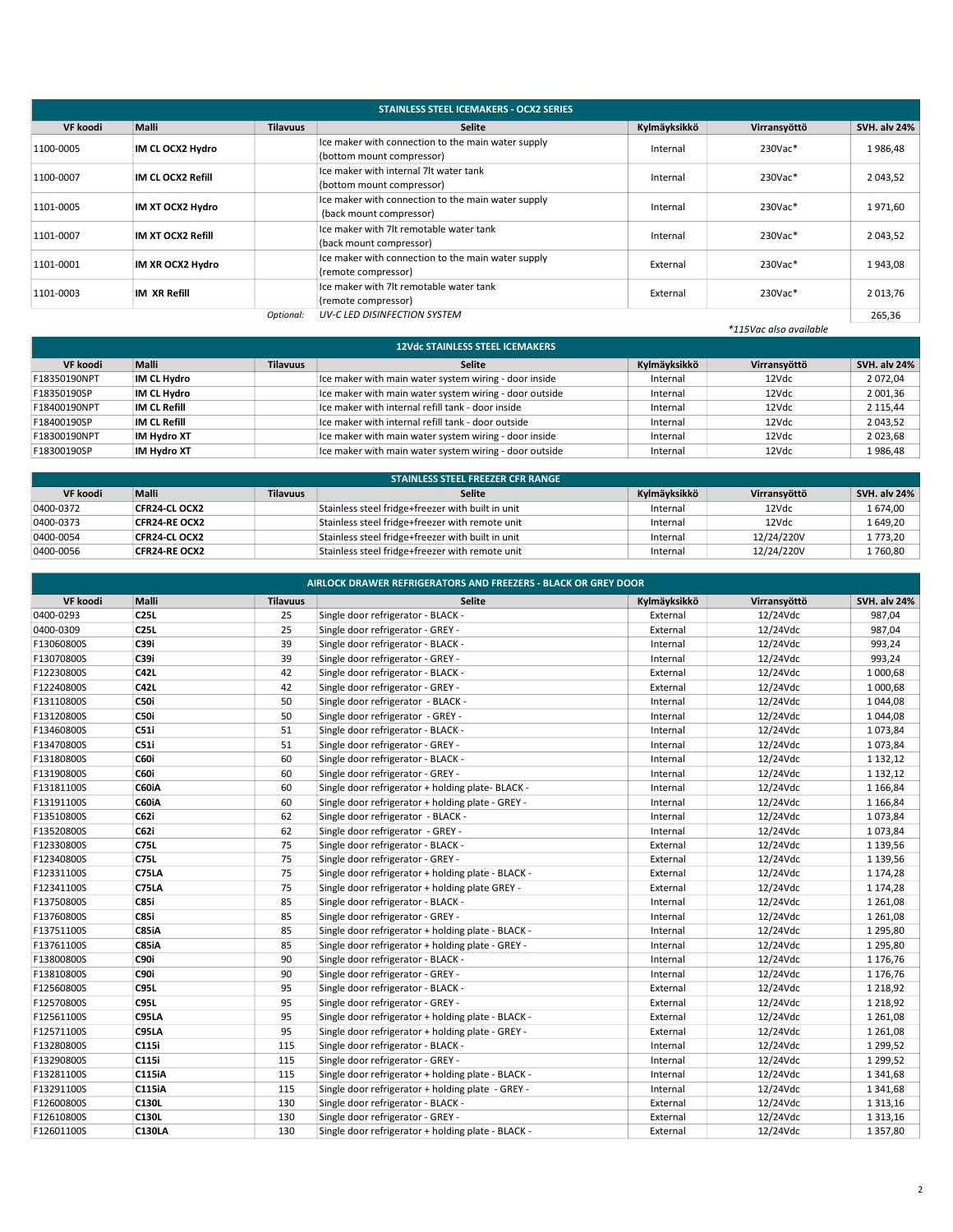| <b>STAINLESS STEEL ICEMAKERS - OCX2 SERIES</b> |                                 |                                                                                 |              |                        |                     |  |  |
|------------------------------------------------|---------------------------------|---------------------------------------------------------------------------------|--------------|------------------------|---------------------|--|--|
| VF koodi                                       | <b>Malli</b><br><b>Tilavuus</b> | <b>Selite</b>                                                                   | Kylmäyksikkö | Virransyöttö           | <b>SVH. alv 24%</b> |  |  |
| 1100-0005                                      | IM CL OCX2 Hydro                | Ice maker with connection to the main water supply<br>(bottom mount compressor) | Internal     | 230Vac*                | 1986,48             |  |  |
| 1100-0007                                      | IM CL OCX2 Refill               | Ice maker with internal 7lt water tank<br>(bottom mount compressor)             | Internal     | 230Vac*                | 2 043,52            |  |  |
| 1101-0005                                      | IM XT OCX2 Hydro                | Ice maker with connection to the main water supply<br>(back mount compressor)   | Internal     | 230Vac*                | 1971,60             |  |  |
| 1101-0007                                      | <b>IM XT OCX2 Refill</b>        | Ice maker with 7lt remotable water tank<br>(back mount compressor)              | Internal     | 230Vac*                | 2 043,52            |  |  |
| 1101-0001                                      | IM XR OCX2 Hydro                | Ice maker with connection to the main water supply<br>(remote compressor)       | External     | 230Vac*                | 1943,08             |  |  |
| 1101-0003                                      | IM XR Refill                    | Ice maker with 7lt remotable water tank<br>(remote compressor)                  | External     | 230Vac*                | 2 013,76            |  |  |
|                                                | Optional:                       | UV-C LED DISINFECTION SYSTEM                                                    |              |                        | 265,36              |  |  |
|                                                |                                 |                                                                                 |              | *115Vac also available |                     |  |  |

| <b>12Vdc STAINLESS STEEL ICEMAKERS</b> |                     |                 |                                                        |              |              |                     |  |
|----------------------------------------|---------------------|-----------------|--------------------------------------------------------|--------------|--------------|---------------------|--|
| VF koodi                               | Malli               | <b>Tilavuus</b> | Selite                                                 | Kylmäyksikkö | Virransvöttö | <b>SVH. alv 24%</b> |  |
| F18350190NPT                           | <b>IM CL Hydro</b>  |                 | Ice maker with main water system wiring - door inside  | Internal     | 12Vdc        | 2072,04             |  |
| F18350190SP                            | <b>IM CL Hydro</b>  |                 | Ice maker with main water system wiring - door outside | Internal     | 12Vdc        | 2 001,36            |  |
| F18400190NPT                           | <b>IM CL Refill</b> |                 | Ice maker with internal refill tank - door inside      | Internal     | 12Vdc        | 2 115,44            |  |
| F18400190SP                            | IM CL Refill        |                 | Ice maker with internal refill tank - door outside     | Internal     | 12Vdc        | 2 043,52            |  |
| F18300190NPT                           | <b>IM Hydro XT</b>  |                 | Ice maker with main water system wiring - door inside  | Internal     | 12Vdc        | 2023,68             |  |
| F18300190SP                            | <b>IM Hydro XT</b>  |                 | Ice maker with main water system wiring - door outside | Internal     | 12Vdc        | 1986,48             |  |

| <b>STAINLESS STEEL FREEZER CFR RANGE</b> |                      |                 |                                                   |              |              |              |  |
|------------------------------------------|----------------------|-----------------|---------------------------------------------------|--------------|--------------|--------------|--|
| VF koodi                                 | Malli                | <b>Tilavuus</b> | <b>Selite</b>                                     | Kylmäyksikkö | Virransvöttö | SVH. alv 24% |  |
| 0400-0372                                | <b>CFR24-CL OCX2</b> |                 | Stainless steel fridge+freezer with built in unit | Internal     | 12Vdc        | 1674.00      |  |
| 0400-0373                                | <b>CFR24-RE OCX2</b> |                 | Stainless steel fridge+freezer with remote unit   | Internal     | 12Vdc        | 1649.20      |  |
| 0400-0054                                | <b>CFR24-CL OCX2</b> |                 | Stainless steel fridge+freezer with built in unit | Internal     | 12/24/220V   | .773,20      |  |
| 0400-0056                                | <b>CFR24-RE OCX2</b> |                 | Stainless steel fridge+freezer with remote unit   | Internal     | 12/24/220V   | .760,80      |  |

| AIRLOCK DRAWER REFRIGERATORS AND FREEZERS - BLACK OR GREY DOOR |                  |                 |                                                    |              |              |                     |  |
|----------------------------------------------------------------|------------------|-----------------|----------------------------------------------------|--------------|--------------|---------------------|--|
| VF koodi                                                       | Malli            | <b>Tilavuus</b> | <b>Selite</b>                                      | Kylmäyksikkö | Virransyöttö | <b>SVH. alv 24%</b> |  |
| 0400-0293                                                      | <b>C25L</b>      | 25              | Single door refrigerator - BLACK -                 | External     | 12/24Vdc     | 987,04              |  |
| 0400-0309                                                      | <b>C25L</b>      | 25              | Single door refrigerator - GREY -                  | External     | 12/24Vdc     | 987,04              |  |
| F13060800S                                                     | C39i             | 39              | Single door refrigerator - BLACK -                 | Internal     | 12/24Vdc     | 993,24              |  |
| F13070800S                                                     | C39i             | 39              | Single door refrigerator - GREY -                  | Internal     | 12/24Vdc     | 993,24              |  |
| F12230800S                                                     | <b>C42L</b>      | 42              | Single door refrigerator - BLACK -                 | External     | 12/24Vdc     | 1 000,68            |  |
| F12240800S                                                     | C42L             | 42              | Single door refrigerator - GREY -                  | External     | 12/24Vdc     | 1 000,68            |  |
| F13110800S                                                     | <b>C50i</b>      | 50              | Single door refrigerator - BLACK -                 | Internal     | 12/24Vdc     | 1 044,08            |  |
| F13120800S                                                     | C50i             | 50              | Single door refrigerator - GREY -                  | Internal     | 12/24Vdc     | 1 044,08            |  |
| F13460800S                                                     | C51i             | 51              | Single door refrigerator - BLACK -                 | Internal     | 12/24Vdc     | 1073,84             |  |
| F13470800S                                                     | C51i             | 51              | Single door refrigerator - GREY -                  | Internal     | 12/24Vdc     | 1073,84             |  |
| F13180800S                                                     | C60i             | 60              | Single door refrigerator - BLACK -                 | Internal     | 12/24Vdc     | 1 1 3 2 , 1 2       |  |
| F13190800S                                                     | <b>C60i</b>      | 60              | Single door refrigerator - GREY -                  | Internal     | 12/24Vdc     | 1 1 3 2 , 1 2       |  |
| F13181100S                                                     | C60iA            | 60              | Single door refrigerator + holding plate- BLACK -  | Internal     | 12/24Vdc     | 1 1 66,84           |  |
| F13191100S                                                     | C60iA            | 60              | Single door refrigerator + holding plate - GREY -  | Internal     | 12/24Vdc     | 1 1 66,84           |  |
| F13510800S                                                     | C62i             | 62              | Single door refrigerator - BLACK -                 | Internal     | 12/24Vdc     | 1073,84             |  |
| F13520800S                                                     | C62i             | 62              | Single door refrigerator - GREY -                  | Internal     | 12/24Vdc     | 1073,84             |  |
| F12330800S                                                     | <b>C75L</b>      | 75              | Single door refrigerator - BLACK -                 | External     | 12/24Vdc     | 1 139,56            |  |
| F12340800S                                                     | <b>C75L</b>      | 75              | Single door refrigerator - GREY -                  | External     | 12/24Vdc     | 1 139,56            |  |
| F12331100S                                                     | C75LA            | 75              | Single door refrigerator + holding plate - BLACK - | External     | 12/24Vdc     | 1 174,28            |  |
| F12341100S                                                     | C75LA            | 75              | Single door refrigerator + holding plate GREY -    | External     | 12/24Vdc     | 1 174,28            |  |
| F13750800S                                                     | C85i             | 85              | Single door refrigerator - BLACK -                 | Internal     | 12/24Vdc     | 1 2 6 1 , 0 8       |  |
| F13760800S                                                     | C85i             | 85              | Single door refrigerator - GREY -                  | Internal     | 12/24Vdc     | 1 2 6 1 , 0 8       |  |
| F13751100S                                                     | C85iA            | 85              | Single door refrigerator + holding plate - BLACK - | Internal     | 12/24Vdc     | 1 2 9 5 , 8 0       |  |
| F13761100S                                                     | <b>C85iA</b>     | 85              | Single door refrigerator + holding plate - GREY -  | Internal     | 12/24Vdc     | 1 2 9 5 , 8 0       |  |
| F13800800S                                                     | C <sub>90i</sub> | 90              | Single door refrigerator - BLACK -                 | Internal     | 12/24Vdc     | 1 176,76            |  |
| F13810800S                                                     | C90i             | 90              | Single door refrigerator - GREY -                  | Internal     | 12/24Vdc     | 1 176,76            |  |
| F12560800S                                                     | <b>C95L</b>      | 95              | Single door refrigerator - BLACK -                 | External     | 12/24Vdc     | 1 2 1 8 , 9 2       |  |
| F12570800S                                                     | <b>C95L</b>      | 95              | Single door refrigerator - GREY -                  | External     | 12/24Vdc     | 1 2 1 8,92          |  |
| F12561100S                                                     | C95LA            | 95              | Single door refrigerator + holding plate - BLACK - | External     | 12/24Vdc     | 1 2 6 1 , 0 8       |  |
| F12571100S                                                     | C95LA            | 95              | Single door refrigerator + holding plate - GREY -  | External     | 12/24Vdc     | 1 2 6 1 , 0 8       |  |
| F13280800S                                                     | C115i            | 115             | Single door refrigerator - BLACK -                 | Internal     | 12/24Vdc     | 1 2 9 9, 5 2        |  |
| F13290800S                                                     | C115i            | 115             | Single door refrigerator - GREY -                  | Internal     | 12/24Vdc     | 1 2 9 9, 5 2        |  |
| F13281100S                                                     | <b>C115iA</b>    | 115             | Single door refrigerator + holding plate - BLACK - | Internal     | 12/24Vdc     | 1 341,68            |  |
| F13291100S                                                     | <b>C115iA</b>    | 115             | Single door refrigerator + holding plate - GREY -  | Internal     | 12/24Vdc     | 1 3 4 1 , 6 8       |  |
| F12600800S                                                     | C130L            | 130             | Single door refrigerator - BLACK -                 | External     | 12/24Vdc     | 1 3 1 3 , 1 6       |  |
| F12610800S                                                     | C130L            | 130             | Single door refrigerator - GREY -                  | External     | 12/24Vdc     | 1 3 1 3 , 1 6       |  |
| F12601100S                                                     | <b>C130LA</b>    | 130             | Single door refrigerator + holding plate - BLACK - | External     | 12/24Vdc     | 1 3 5 7,80          |  |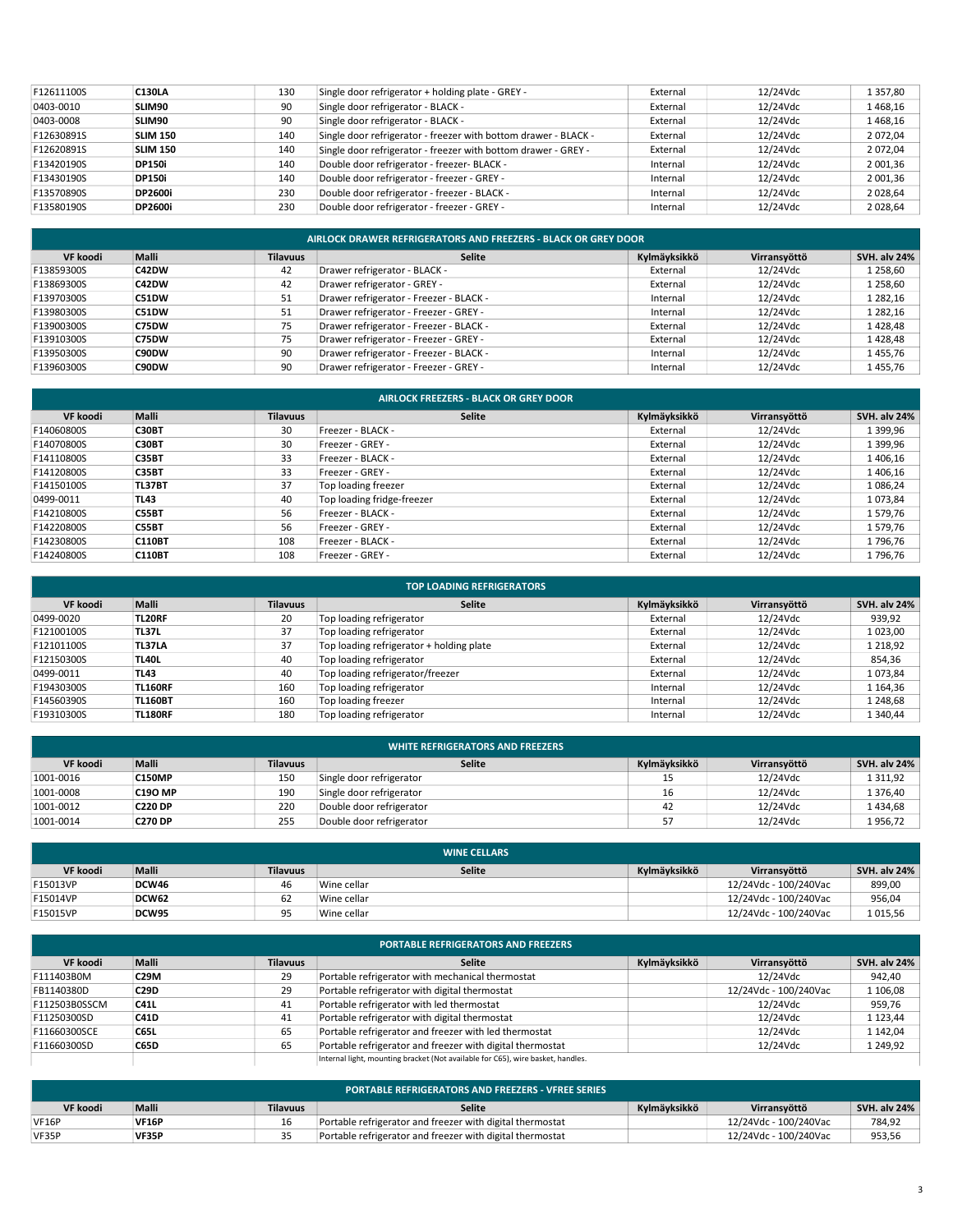| F12611100S | <b>C130LA</b>   | 130 | Single door refrigerator + holding plate - GREY -               | External | 12/24Vdc | 1 3 5 7 , 8 0 |
|------------|-----------------|-----|-----------------------------------------------------------------|----------|----------|---------------|
| 0403-0010  | SLIM90          | 90  | Single door refrigerator - BLACK -                              | External | 12/24Vdc | 1468,16       |
| 0403-0008  | SLIM90          | 90  | Single door refrigerator - BLACK -                              | External | 12/24Vdc | 1468,16       |
| F12630891S | <b>SLIM 150</b> | 140 | Single door refrigerator - freezer with bottom drawer - BLACK - | External | 12/24Vdc | 2072,04       |
| F12620891S | <b>SLIM 150</b> | 140 | Single door refrigerator - freezer with bottom drawer - GREY -  | External | 12/24Vdc | 2072.04       |
| F13420190S | <b>DP150i</b>   | 140 | Double door refrigerator - freezer- BLACK -                     | Internal | 12/24Vdc | 2 001,36      |
| F13430190S | <b>DP150i</b>   | 140 | Double door refrigerator - freezer - GREY -                     | Internal | 12/24Vdc | 2 001.36      |
| F13570890S | <b>DP2600i</b>  | 230 | Double door refrigerator - freezer - BLACK -                    | Internal | 12/24Vdc | 2028,64       |
| F13580190S | <b>DP2600i</b>  | 230 | Double door refrigerator - freezer - GREY -                     | Internal | 12/24Vdc | 2028,64       |

| AIRLOCK DRAWER REFRIGERATORS AND FREEZERS - BLACK OR GREY DOOR |              |                 |                                         |              |              |                     |  |
|----------------------------------------------------------------|--------------|-----------------|-----------------------------------------|--------------|--------------|---------------------|--|
| VF koodi                                                       | Malli        | <b>Tilavuus</b> | <b>Selite</b>                           | Kylmäyksikkö | Virransyöttö | <b>SVH. alv 24%</b> |  |
| F13859300S                                                     | C42DW        | 42              | Drawer refrigerator - BLACK -           | External     | 12/24Vdc     | 1 258,60            |  |
| F13869300S                                                     | C42DW        | 42              | Drawer refrigerator - GREY -            | External     | 12/24Vdc     | 1 258,60            |  |
| F13970300S                                                     | C51DW        | 51              | Drawer refrigerator - Freezer - BLACK - | Internal     | 12/24Vdc     | 1 282,16            |  |
| F13980300S                                                     | C51DW        | 51              | Drawer refrigerator - Freezer - GREY -  | Internal     | 12/24Vdc     | 1 2 8 2 , 1 6       |  |
| F13900300S                                                     | <b>C75DW</b> | 75              | Drawer refrigerator - Freezer - BLACK - | External     | 12/24Vdc     | 1428,48             |  |
| F13910300S                                                     | C75DW        | 75              | Drawer refrigerator - Freezer - GREY -  | External     | 12/24Vdc     | 1428,48             |  |
| F13950300S                                                     | C90DW        | 90              | Drawer refrigerator - Freezer - BLACK - | Internal     | 12/24Vdc     | 1455,76             |  |
| F13960300S                                                     | C90DW        | 90              | Drawer refrigerator - Freezer - GREY -  | Internal     | 12/24Vdc     | 1455,76             |  |

|            | <b>AIRLOCK FREEZERS - BLACK OR GREY DOOR</b> |                 |                            |              |              |                     |  |  |
|------------|----------------------------------------------|-----------------|----------------------------|--------------|--------------|---------------------|--|--|
| VF koodi   | <b>Malli</b>                                 | <b>Tilavuus</b> | <b>Selite</b>              | Kylmäyksikkö | Virransyöttö | <b>SVH. alv 24%</b> |  |  |
| F14060800S | C30BT                                        | 30              | Freezer - BLACK -          | External     | 12/24Vdc     | 1 399,96            |  |  |
| F14070800S | C30BT                                        | 30              | Freezer - GREY -           | External     | 12/24Vdc     | 1 399,96            |  |  |
| F14110800S | <b>C35BT</b>                                 | 33              | Freezer - BLACK -          | External     | 12/24Vdc     | 1406,16             |  |  |
| F14120800S | C35BT                                        | 33              | Freezer - GREY -           | External     | 12/24Vdc     | 1406,16             |  |  |
| F14150100S | <b>TL37BT</b>                                | 37              | Top loading freezer        | External     | 12/24Vdc     | 1086,24             |  |  |
| 0499-0011  | <b>TL43</b>                                  | 40              | Top loading fridge-freezer | External     | 12/24Vdc     | 1073,84             |  |  |
| F14210800S | C55BT                                        | 56              | Freezer - BLACK -          | External     | 12/24Vdc     | 1579,76             |  |  |
| F14220800S | C55BT                                        | 56              | Freezer - GREY -           | External     | 12/24Vdc     | 1579,76             |  |  |
| F14230800S | <b>C110BT</b>                                | 108             | Freezer - BLACK -          | External     | 12/24Vdc     | 1796,76             |  |  |
| F14240800S | <b>C110BT</b>                                | 108             | Freezer - GREY -           | External     | 12/24Vdc     | 1796,76             |  |  |

|            | <b>TOP LOADING REFRIGERATORS</b> |                 |                                          |              |              |                     |  |  |
|------------|----------------------------------|-----------------|------------------------------------------|--------------|--------------|---------------------|--|--|
| VF koodi   | <b>Malli</b>                     | <b>Tilavuus</b> | <b>Selite</b>                            | Kylmäyksikkö | Virransyöttö | <b>SVH. alv 24%</b> |  |  |
| 0499-0020  | TL20RF                           | 20              | Top loading refrigerator                 | External     | 12/24Vdc     | 939,92              |  |  |
| F12100100S | <b>TL37L</b>                     | 37              | Top loading refrigerator                 | External     | 12/24Vdc     | 1 023,00            |  |  |
| F12101100S | TL37LA                           | 37              | Top loading refrigerator + holding plate | External     | 12/24Vdc     | 1 2 1 8,92          |  |  |
| F12150300S | <b>TL40L</b>                     | 40              | Top loading refrigerator                 | External     | 12/24Vdc     | 854,36              |  |  |
| 0499-0011  | <b>TL43</b>                      | 40              | Top loading refrigerator/freezer         | External     | 12/24Vdc     | 1073,84             |  |  |
| F19430300S | <b>TL160RF</b>                   | 160             | Top loading refrigerator                 | Internal     | 12/24Vdc     | 1 164,36            |  |  |
| F14560390S | <b>TL160BT</b>                   | 160             | Top loading freezer                      | Internal     | 12/24Vdc     | 1 248,68            |  |  |
| F19310300S | <b>TL180RF</b>                   | 180             | Top loading refrigerator                 | Internal     | 12/24Vdc     | 1 340,44            |  |  |

| <b>WHITE REFRIGERATORS AND FREEZERS</b> |                |                 |                          |              |              |                     |
|-----------------------------------------|----------------|-----------------|--------------------------|--------------|--------------|---------------------|
| VF koodi                                | Malli          | <b>Tilavuus</b> | <b>Selite</b>            | Kvlmävksikkö | Virransvöttö | <b>SVH. alv 24%</b> |
| 1001-0016                               | <b>C150MP</b>  | 150             | Single door refrigerator | 15           | 12/24Vdc     | 1 311,92            |
| 1001-0008                               | <b>C19O MP</b> | 190             | Single door refrigerator | 16           | 12/24Vdc     | 1 376,40            |
| 1001-0012                               | <b>C220 DP</b> | 220             | Double door refrigerator | 42           | 12/24Vdc     | 1434.68             |
| 1001-0014                               | <b>C270 DP</b> | 255             | Double door refrigerator | 57           | 12/24Vdc     | 1956,72             |

| <b>WINE CELLARS</b> |              |                 |               |              |                       |                     |
|---------------------|--------------|-----------------|---------------|--------------|-----------------------|---------------------|
| VF koodi            | <b>Malli</b> | <b>Tilavuus</b> | <b>Selite</b> | Kylmäyksikkö | Virransvöttö          | <b>SVH. alv 24%</b> |
| F15013VP            | <b>DCW46</b> | 46              | Wine cellar   |              | 12/24Vdc - 100/240Vac | 899,00              |
| F15014VP            | <b>DCW62</b> | 62              | Wine cellar   |              | 12/24Vdc - 100/240Vac | 956,04              |
| F15015VP            | <b>DCW95</b> | 95              | Wine cellar   |              | 12/24Vdc - 100/240Vac | 1015,56             |

| <b>PORTABLE REFRIGERATORS AND FREEZERS</b> |             |                 |                                                                                 |              |                       |                     |
|--------------------------------------------|-------------|-----------------|---------------------------------------------------------------------------------|--------------|-----------------------|---------------------|
| VF koodi                                   | Malli       | <b>Tilavuus</b> | <b>Selite</b>                                                                   | Kylmäyksikkö | Virransyöttö          | <b>SVH. alv 24%</b> |
| F111403B0M                                 | C29M        | 29              | Portable refrigerator with mechanical thermostat                                |              | 12/24Vdc              | 942,40              |
| FB1140380D                                 | <b>C29D</b> | 29              | Portable refrigerator with digital thermostat                                   |              | 12/24Vdc - 100/240Vac | 1 106,08            |
| F112503B0SSCM                              | <b>C41L</b> | 41              | Portable refrigerator with led thermostat                                       |              | 12/24Vdc              | 959.76              |
| F11250300SD                                | C41D        | 41              | Portable refrigerator with digital thermostat                                   |              | 12/24Vdc              | 1 1 2 3 . 4 4       |
| F11660300SCE                               | C65L        | 65              | Portable refrigerator and freezer with led thermostat                           |              | 12/24Vdc              | 1 142,04            |
| F11660300SD                                | <b>C65D</b> | 65              | Portable refrigerator and freezer with digital thermostat                       |              | 12/24Vdc              | 1 249,92            |
|                                            |             |                 | Internal light, mounting bracket (Not available for C65), wire basket, handles. |              |                       |                     |

|              |              |                 | <b>PORTABLE REFRIGERATORS AND FREEZERS - VFREE SERIES</b> |              |                       |                     |
|--------------|--------------|-----------------|-----------------------------------------------------------|--------------|-----------------------|---------------------|
| VF koodi     | <b>Malli</b> | <b>Tilavuus</b> | <b>Selite</b>                                             | Kylmäyksikkö | Virransvöttö          | <b>SVH. alv 24%</b> |
| <b>VF16P</b> | <b>VF16P</b> | 16              | Portable refrigerator and freezer with digital thermostat |              | 12/24Vdc - 100/240Vac | 784,92              |
| VF35P        | VF35P        |                 | Portable refrigerator and freezer with digital thermostat |              | 12/24Vdc - 100/240Vac | 953,56              |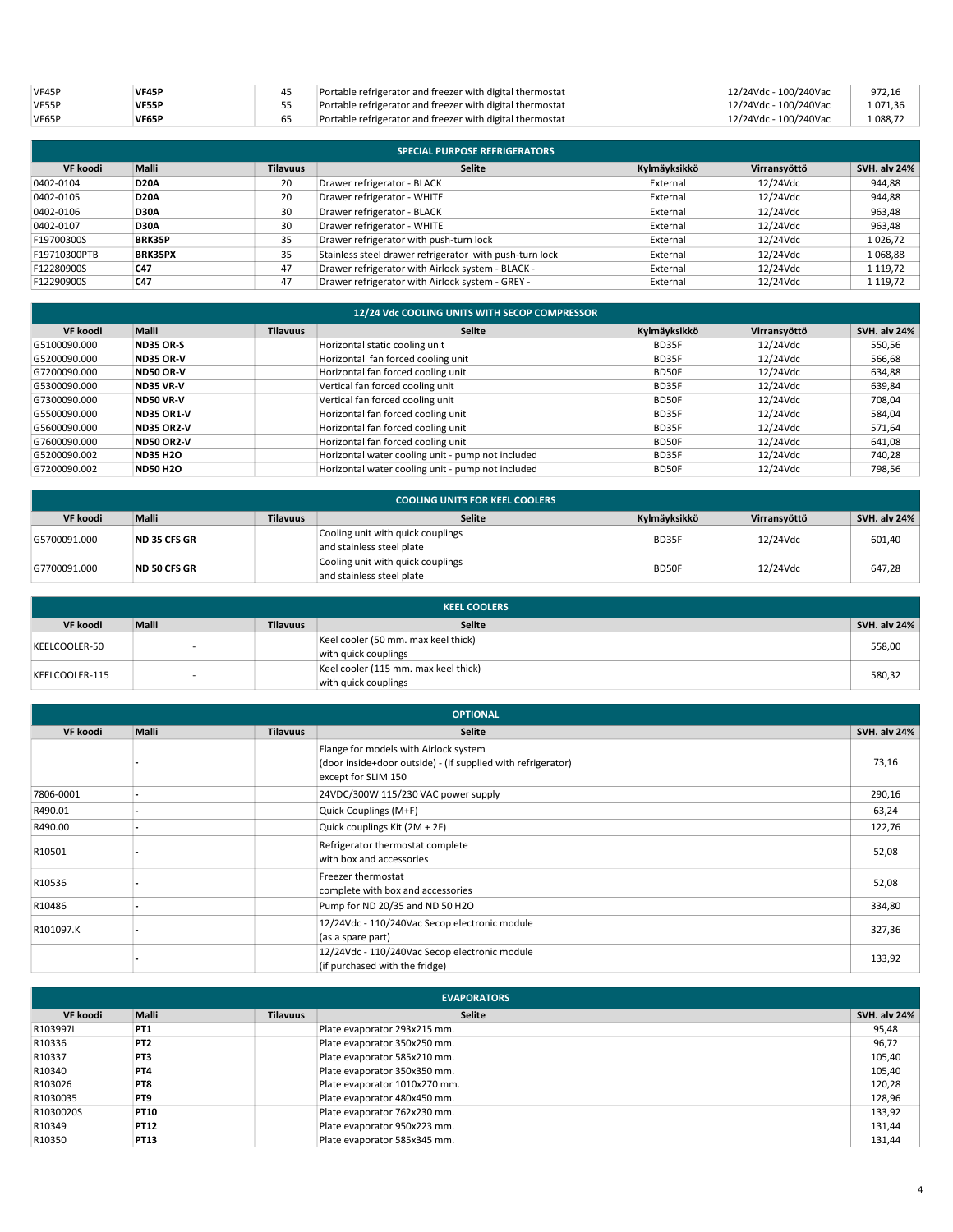| VF45P | <b>VF45P</b> |    | Portable refrigerator and freezer with digital thermostat | 12/24Vdc - 100/240Vac | 972,16   |
|-------|--------------|----|-----------------------------------------------------------|-----------------------|----------|
| VF55P | VF55P        |    | Portable refrigerator and freezer with digital thermostat | 12/24Vdc - 100/240Vac | 1071,36  |
| VF65P | <b>VF65P</b> | 65 | Portable refrigerator and freezer with digital thermostat | 12/24Vdc - 100/240Vac | 1 088,72 |

| <b>SPECIAL PURPOSE REFRIGERATORS</b> |                |                 |                                                         |              |              |                     |
|--------------------------------------|----------------|-----------------|---------------------------------------------------------|--------------|--------------|---------------------|
| VF koodi                             | <b>Malli</b>   | <b>Tilavuus</b> | <b>Selite</b>                                           | Kylmäyksikkö | Virransyöttö | <b>SVH. alv 24%</b> |
| 0402-0104                            | <b>D20A</b>    | 20              | Drawer refrigerator - BLACK                             | External     | 12/24Vdc     | 944,88              |
| 0402-0105                            | <b>D20A</b>    | 20              | Drawer refrigerator - WHITE                             | External     | 12/24Vdc     | 944,88              |
| 0402-0106                            | D30A           | 30              | Drawer refrigerator - BLACK                             | External     | 12/24Vdc     | 963,48              |
| 0402-0107                            | D30A           | 30              | Drawer refrigerator - WHITE                             | External     | 12/24Vdc     | 963,48              |
| F19700300S                           | <b>BRK35P</b>  | 35              | Drawer refrigerator with push-turn lock                 | External     | 12/24Vdc     | 1026,72             |
| F19710300PTB                         | <b>BRK35PX</b> | 35              | Stainless steel drawer refrigerator with push-turn lock | External     | 12/24Vdc     | 1068,88             |
| F12280900S                           | C47            | 47              | Drawer refrigerator with Airlock system - BLACK -       | External     | 12/24Vdc     | 1 1 1 9 , 7 2       |
| F12290900S                           | C47            | 47              | Drawer refrigerator with Airlock system - GREY -        | External     | 12/24Vdc     | 1 1 1 9 . 7 2       |

| 12/24 Vdc COOLING UNITS WITH SECOP COMPRESSOR |                   |                 |                                                   |              |              |                     |
|-----------------------------------------------|-------------------|-----------------|---------------------------------------------------|--------------|--------------|---------------------|
| VF koodi                                      | Malli             | <b>Tilavuus</b> | <b>Selite</b>                                     | Kylmäyksikkö | Virransyöttö | <b>SVH. alv 24%</b> |
| G5100090.000                                  | <b>ND35 OR-S</b>  |                 | Horizontal static cooling unit                    | BD35F        | 12/24Vdc     | 550,56              |
| G5200090.000                                  | <b>ND35 OR-V</b>  |                 | Horizontal fan forced cooling unit                | BD35F        | 12/24Vdc     | 566,68              |
| G7200090.000                                  | <b>ND50 OR-V</b>  |                 | Horizontal fan forced cooling unit                | BD50F        | 12/24Vdc     | 634,88              |
| G5300090.000                                  | <b>ND35 VR-V</b>  |                 | Vertical fan forced cooling unit                  | BD35F        | 12/24Vdc     | 639,84              |
| G7300090.000                                  | <b>ND50 VR-V</b>  |                 | Vertical fan forced cooling unit                  | BD50F        | 12/24Vdc     | 708,04              |
| G5500090.000                                  | <b>ND35 OR1-V</b> |                 | Horizontal fan forced cooling unit                | BD35F        | 12/24Vdc     | 584,04              |
| G5600090.000                                  | <b>ND35 OR2-V</b> |                 | Horizontal fan forced cooling unit                | BD35F        | 12/24Vdc     | 571,64              |
| G7600090.000                                  | <b>ND50 OR2-V</b> |                 | Horizontal fan forced cooling unit                | BD50F        | 12/24Vdc     | 641,08              |
| G5200090.002                                  | <b>ND35 H2O</b>   |                 | Horizontal water cooling unit - pump not included | BD35F        | 12/24Vdc     | 740,28              |
| G7200090.002                                  | <b>ND50 H2O</b>   |                 | Horizontal water cooling unit - pump not included | BD50F        | 12/24Vdc     | 798,56              |

| <b>COOLING UNITS FOR KEEL COOLERS</b> |                     |                 |                                                                |              |              |                     |
|---------------------------------------|---------------------|-----------------|----------------------------------------------------------------|--------------|--------------|---------------------|
| VF koodi                              | Malli               | <b>Tilavuus</b> | <b>Selite</b>                                                  | Kylmäyksikkö | Virransvöttö | <b>SVH. alv 24%</b> |
| G5700091.000                          | <b>ND 35 CFS GR</b> |                 | Cooling unit with quick couplings<br>and stainless steel plate | BD35F        | 12/24Vdc     | 601,40              |
| G7700091.000                          | <b>ND 50 CFS GR</b> |                 | Cooling unit with quick couplings<br>and stainless steel plate | BD50F        | 12/24Vdc     | 647,28              |

|                | <b>KEEL COOLERS</b> |                 |                                                              |  |  |                     |
|----------------|---------------------|-----------------|--------------------------------------------------------------|--|--|---------------------|
| VF koodi       | Malli               | <b>Tilavuus</b> | <b>Selite</b>                                                |  |  | <b>SVH. alv 24%</b> |
| KEELCOOLER-50  |                     |                 | Keel cooler (50 mm. max keel thick)<br>with quick couplings  |  |  | 558,00              |
| KEELCOOLER-115 |                     |                 | Keel cooler (115 mm. max keel thick)<br>with quick couplings |  |  | 580,32              |

|           | <b>OPTIONAL</b> |                 |                                                                                                                              |  |                     |  |
|-----------|-----------------|-----------------|------------------------------------------------------------------------------------------------------------------------------|--|---------------------|--|
| VF koodi  | <b>Malli</b>    | <b>Tilavuus</b> | <b>Selite</b>                                                                                                                |  | <b>SVH. alv 24%</b> |  |
|           |                 |                 | Flange for models with Airlock system<br>(door inside+door outside) - (if supplied with refrigerator)<br>except for SLIM 150 |  | 73,16               |  |
| 7806-0001 |                 |                 | 24VDC/300W 115/230 VAC power supply                                                                                          |  | 290,16              |  |
| R490.01   |                 |                 | Quick Couplings (M+F)                                                                                                        |  | 63,24               |  |
| R490.00   |                 |                 | Quick couplings Kit (2M + 2F)                                                                                                |  | 122,76              |  |
| R10501    |                 |                 | Refrigerator thermostat complete<br>with box and accessories                                                                 |  | 52,08               |  |
| R10536    |                 |                 | Freezer thermostat<br>complete with box and accessories                                                                      |  | 52,08               |  |
| R10486    |                 |                 | Pump for ND 20/35 and ND 50 H2O                                                                                              |  | 334,80              |  |
| R101097.K |                 |                 | 12/24Vdc - 110/240Vac Secop electronic module<br>(as a spare part)                                                           |  | 327,36              |  |
|           |                 |                 | 12/24Vdc - 110/240Vac Secop electronic module<br>(if purchased with the fridge)                                              |  | 133,92              |  |

| <b>EVAPORATORS</b> |                 |                 |                               |  |                     |
|--------------------|-----------------|-----------------|-------------------------------|--|---------------------|
| VF koodi           | <b>Malli</b>    | <b>Tilavuus</b> | <b>Selite</b>                 |  | <b>SVH. alv 24%</b> |
| R103997L           | PT <sub>1</sub> |                 | Plate evaporator 293x215 mm.  |  | 95,48               |
| R10336             | PT <sub>2</sub> |                 | Plate evaporator 350x250 mm.  |  | 96,72               |
| R10337             | PT3             |                 | Plate evaporator 585x210 mm.  |  | 105,40              |
| R10340             | PT4             |                 | Plate evaporator 350x350 mm.  |  | 105,40              |
| R103026            | PT8             |                 | Plate evaporator 1010x270 mm. |  | 120,28              |
| R1030035           | PT <sub>9</sub> |                 | Plate evaporator 480x450 mm.  |  | 128,96              |
| R1030020S          | <b>PT10</b>     |                 | Plate evaporator 762x230 mm.  |  | 133,92              |
| R10349             | <b>PT12</b>     |                 | Plate evaporator 950x223 mm.  |  | 131,44              |
| R10350             | PT13            |                 | Plate evaporator 585x345 mm.  |  | 131,44              |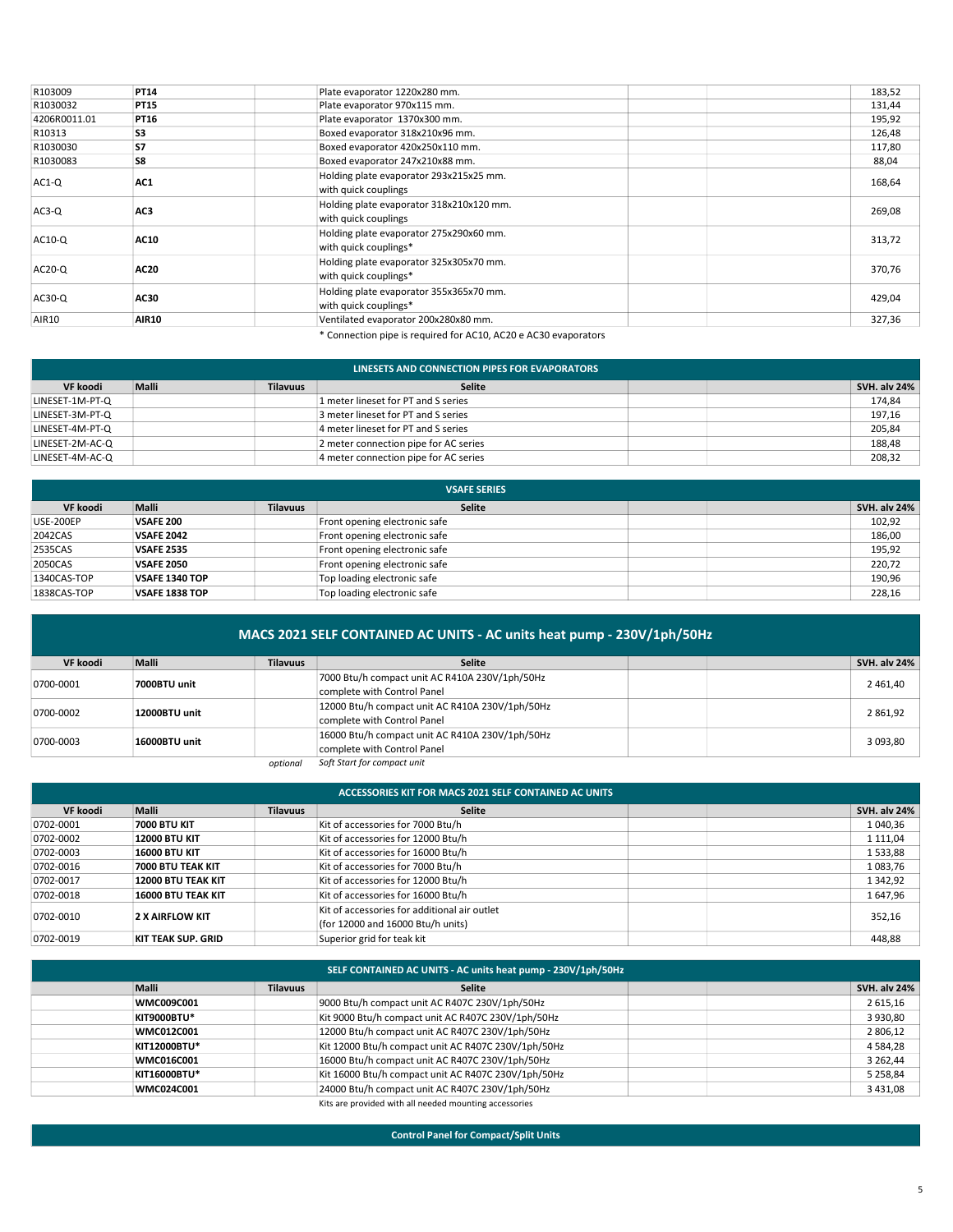| R103009      | PT14         | Plate evaporator 1220x280 mm.                                    | 183,52 |
|--------------|--------------|------------------------------------------------------------------|--------|
| R1030032     | PT15         | Plate evaporator 970x115 mm.                                     | 131,44 |
| 4206R0011.01 | <b>PT16</b>  | Plate evaporator 1370x300 mm.                                    | 195,92 |
| R10313       | S3           | Boxed evaporator 318x210x96 mm.                                  | 126,48 |
| R1030030     | <b>S7</b>    | Boxed evaporator 420x250x110 mm.                                 | 117,80 |
| R1030083     | S8           | Boxed evaporator 247x210x88 mm.                                  | 88,04  |
| $AC1-Q$      | AC1          | Holding plate evaporator 293x215x25 mm.<br>with quick couplings  | 168,64 |
| $AC3-Q$      | AC3          | Holding plate evaporator 318x210x120 mm.<br>with quick couplings | 269,08 |
| $AC10-Q$     | <b>AC10</b>  | Holding plate evaporator 275x290x60 mm.<br>with quick couplings* | 313,72 |
| $AC20-Q$     | <b>AC20</b>  | Holding plate evaporator 325x305x70 mm.<br>with quick couplings* | 370,76 |
| $AC30-Q$     | AC30         | Holding plate evaporator 355x365x70 mm.<br>with quick couplings* | 429,04 |
| <b>AIR10</b> | <b>AIR10</b> | Ventilated evaporator 200x280x80 mm.                             | 327,36 |

| LINESETS AND CONNECTION PIPES FOR EVAPORATORS |       |                 |                                       |                     |  |  |
|-----------------------------------------------|-------|-----------------|---------------------------------------|---------------------|--|--|
| VF koodi                                      | Malli | <b>Tilavuus</b> | <b>Selite</b>                         | <b>SVH. alv 24%</b> |  |  |
| LINESET-1M-PT-Q                               |       |                 | 1 meter lineset for PT and S series   | 174,84              |  |  |
| LINESET-3M-PT-Q                               |       |                 | 3 meter lineset for PT and S series   | 197.16              |  |  |
| LINESET-4M-PT-Q                               |       |                 | 4 meter lineset for PT and S series   | 205,84              |  |  |
| LINESET-2M-AC-Q                               |       |                 | 2 meter connection pipe for AC series | 188,48              |  |  |
| LINESET-4M-AC-Q                               |       |                 | 4 meter connection pipe for AC series | 208,32              |  |  |

| <b>VSAFE SERIES</b> |                       |                 |                               |  |  |                     |  |
|---------------------|-----------------------|-----------------|-------------------------------|--|--|---------------------|--|
| VF koodi            | Malli                 | <b>Tilavuus</b> | <b>Selite</b>                 |  |  | <b>SVH. alv 24%</b> |  |
| USE-200EP           | <b>VSAFE 200</b>      |                 | Front opening electronic safe |  |  | 102,92              |  |
| 2042CAS             | <b>VSAFE 2042</b>     |                 | Front opening electronic safe |  |  | 186,00              |  |
| 2535CAS             | <b>VSAFE 2535</b>     |                 | Front opening electronic safe |  |  | 195,92              |  |
| 2050CAS             | <b>VSAFE 2050</b>     |                 | Front opening electronic safe |  |  | 220,72              |  |
| 1340CAS-TOP         | VSAFE 1340 TOP        |                 | Top loading electronic safe   |  |  | 190,96              |  |
| 1838CAS-TOP         | <b>VSAFE 1838 TOP</b> |                 | Top loading electronic safe   |  |  | 228,16              |  |

| MACS 2021 SELF CONTAINED AC UNITS - AC units heat pump - 230V/1ph/50Hz |               |                 |                                                                                |                     |  |  |  |
|------------------------------------------------------------------------|---------------|-----------------|--------------------------------------------------------------------------------|---------------------|--|--|--|
| VF koodi                                                               | Malli         | <b>Tilavuus</b> | <b>Selite</b>                                                                  | <b>SVH. alv 24%</b> |  |  |  |
| 0700-0001                                                              | 7000BTU unit  |                 | 7000 Btu/h compact unit AC R410A 230V/1ph/50Hz<br>complete with Control Panel  | 2 4 6 1,40          |  |  |  |
| 0700-0002                                                              | 12000BTU unit |                 | 12000 Btu/h compact unit AC R410A 230V/1ph/50Hz<br>complete with Control Panel | 2861,92             |  |  |  |
| 0700-0003                                                              | 16000BTU unit |                 | 16000 Btu/h compact unit AC R410A 230V/1ph/50Hz<br>complete with Control Panel | 3 093,80            |  |  |  |
|                                                                        |               | optional        | Soft Start for compact unit                                                    |                     |  |  |  |

| ACCESSORIES KIT FOR MACS 2021 SELF CONTAINED AC UNITS |                           |                 |                                                                                   |  |  |                     |  |
|-------------------------------------------------------|---------------------------|-----------------|-----------------------------------------------------------------------------------|--|--|---------------------|--|
| VF koodi                                              | Malli                     | <b>Tilavuus</b> | <b>Selite</b>                                                                     |  |  | <b>SVH. alv 24%</b> |  |
| 0702-0001                                             | <b>7000 BTU KIT</b>       |                 | Kit of accessories for 7000 Btu/h                                                 |  |  | 1040,36             |  |
| 0702-0002                                             | <b>12000 BTU KIT</b>      |                 | Kit of accessories for 12000 Btu/h                                                |  |  | 1 1 1 1 . 0 4       |  |
| 0702-0003                                             | <b>16000 BTU KIT</b>      |                 | Kit of accessories for 16000 Btu/h                                                |  |  | 1533,88             |  |
| 0702-0016                                             | 7000 BTU TEAK KIT         |                 | Kit of accessories for 7000 Btu/h                                                 |  |  | 1083,76             |  |
| 0702-0017                                             | <b>12000 BTU TEAK KIT</b> |                 | Kit of accessories for 12000 Btu/h                                                |  |  | 1 342,92            |  |
| 0702-0018                                             | <b>16000 BTU TEAK KIT</b> |                 | Kit of accessories for 16000 Btu/h                                                |  |  | 1647,96             |  |
| 0702-0010                                             | 2 X AIRFLOW KIT           |                 | Kit of accessories for additional air outlet<br>(for 12000 and 16000 Btu/h units) |  |  | 352,16              |  |
| 0702-0019                                             | KIT TEAK SUP. GRID        |                 | Superior grid for teak kit                                                        |  |  | 448,88              |  |

| SELF CONTAINED AC UNITS - AC units heat pump - 230V/1ph/50Hz |                 |                                                        |  |                     |  |  |
|--------------------------------------------------------------|-----------------|--------------------------------------------------------|--|---------------------|--|--|
| Malli                                                        | <b>Tilavuus</b> | Selite                                                 |  | <b>SVH. alv 24%</b> |  |  |
| <b>WMC009C001</b>                                            |                 | 9000 Btu/h compact unit AC R407C 230V/1ph/50Hz         |  | 2 615,16            |  |  |
| KIT9000BTU*                                                  |                 | Kit 9000 Btu/h compact unit AC R407C 230V/1ph/50Hz     |  | 3 930,80            |  |  |
| <b>WMC012C001</b>                                            |                 | 12000 Btu/h compact unit AC R407C 230V/1ph/50Hz        |  | 2 806,12            |  |  |
| KIT12000BTU*                                                 |                 | Kit 12000 Btu/h compact unit AC R407C 230V/1ph/50Hz    |  | 4 5 8 4 , 2 8       |  |  |
| <b>WMC016C001</b>                                            |                 | 16000 Btu/h compact unit AC R407C 230V/1ph/50Hz        |  | 3 262,44            |  |  |
| KIT16000BTU*                                                 |                 | Kit 16000 Btu/h compact unit AC R407C 230V/1ph/50Hz    |  | 5 2 5 8 , 8 4       |  |  |
| <b>WMC024C001</b>                                            |                 | 24000 Btu/h compact unit AC R407C 230V/1ph/50Hz        |  | 3 4 3 1 , 0 8       |  |  |
|                                                              |                 | Kits are provided with all needed mounting accessories |  |                     |  |  |

Control Panel for Compact/Split Units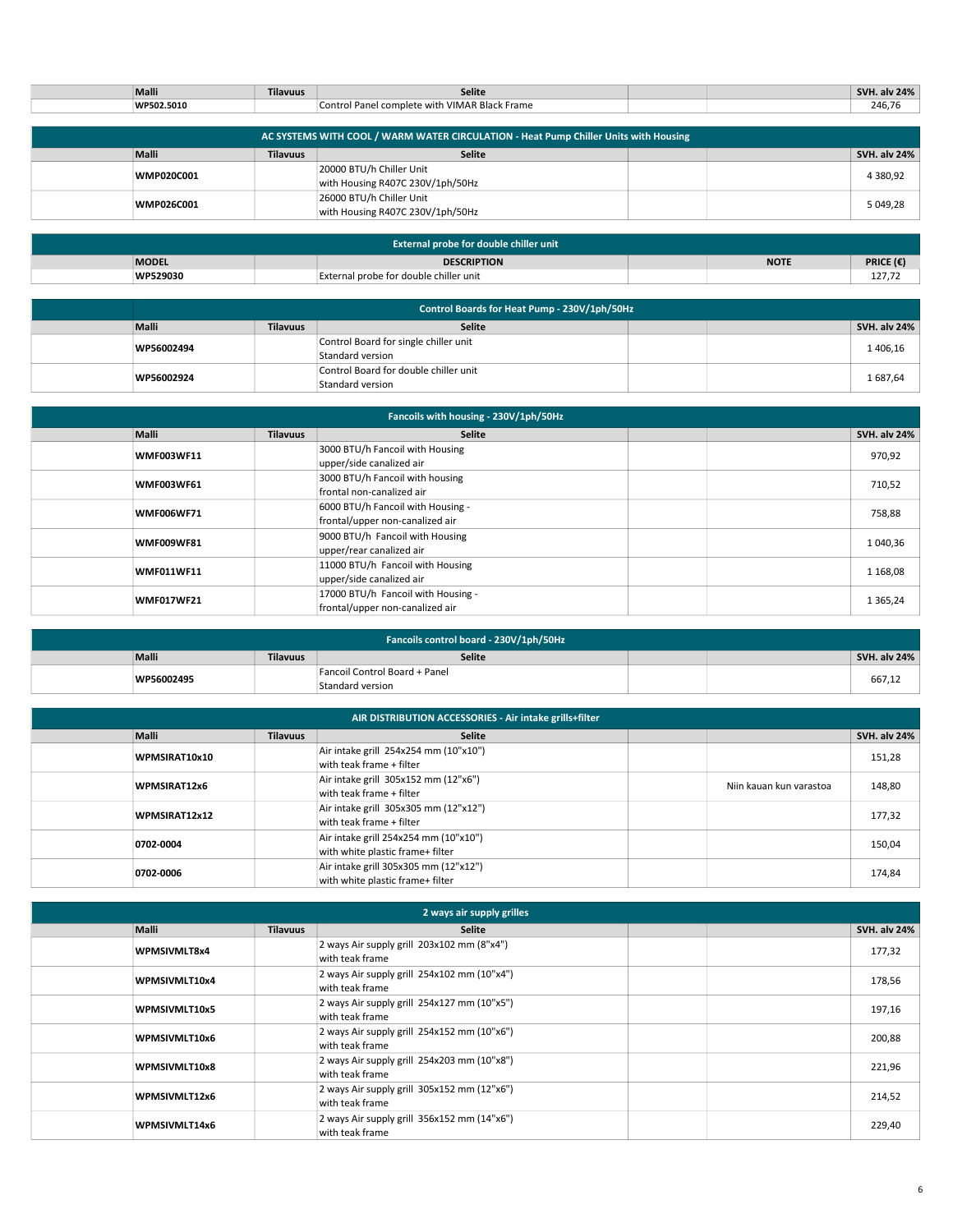|                                                                                      | Malli             | <b>Tilavuus</b> | <b>Selite</b>                                                |  |  | <b>SVH. alv 24%</b> |  |  |
|--------------------------------------------------------------------------------------|-------------------|-----------------|--------------------------------------------------------------|--|--|---------------------|--|--|
|                                                                                      | WP502.5010        |                 | Control Panel complete with VIMAR Black Frame                |  |  | 246,76              |  |  |
|                                                                                      |                   |                 |                                                              |  |  |                     |  |  |
| AC SYSTEMS WITH COOL / WARM WATER CIRCULATION - Heat Pump Chiller Units with Housing |                   |                 |                                                              |  |  |                     |  |  |
|                                                                                      | <b>Malli</b>      | <b>Tilavuus</b> | <b>Selite</b>                                                |  |  | <b>SVH. alv 24%</b> |  |  |
|                                                                                      | <b>WMP020C001</b> |                 | 20000 BTU/h Chiller Unit<br>with Housing R407C 230V/1ph/50Hz |  |  | 4 3 8 0, 9 2        |  |  |

| External probe for double chiller unit |                                        |  |             |           |  |  |
|----------------------------------------|----------------------------------------|--|-------------|-----------|--|--|
| <b>MODEL</b>                           | <b>DESCRIPTION</b>                     |  | <b>NOTE</b> | PRICE (€' |  |  |
| WP529030                               | External probe for double chiller unit |  |             |           |  |  |

WMP026C001 26000 BTU/h Chiller Unit 3 26000 BTU/h Chiller Unit 3 26000 BTU/h Chiller Unit 5 049,28<br>
with Housing R407C 230V/1ph/50Hz 5 2000 5 2000 1 2010 1 2020 5 2049,28

| Control Boards for Heat Pump - 230V/1ph/50Hz |                                                           |  |  |                     |  |
|----------------------------------------------|-----------------------------------------------------------|--|--|---------------------|--|
| Malli<br><b>Tilavuus</b>                     | <b>Selite</b>                                             |  |  | <b>SVH. alv 24%</b> |  |
| WP56002494                                   | Control Board for single chiller unit<br>Standard version |  |  | 1406,16             |  |
| WP56002924                                   | Control Board for double chiller unit<br>Standard version |  |  | 1687,64             |  |

| Fancoils with housing - 230V/1ph/50Hz |                          |                                                                       |                     |  |  |  |  |
|---------------------------------------|--------------------------|-----------------------------------------------------------------------|---------------------|--|--|--|--|
|                                       | Malli<br><b>Tilavuus</b> | <b>Selite</b>                                                         | <b>SVH. alv 24%</b> |  |  |  |  |
|                                       | <b>WMF003WF11</b>        | 3000 BTU/h Fancoil with Housing<br>upper/side canalized air           | 970,92              |  |  |  |  |
|                                       | <b>WMF003WF61</b>        | 3000 BTU/h Fancoil with housing<br>frontal non-canalized air          | 710,52              |  |  |  |  |
|                                       | <b>WMF006WF71</b>        | 6000 BTU/h Fancoil with Housing -<br>frontal/upper non-canalized air  | 758,88              |  |  |  |  |
|                                       | <b>WMF009WF81</b>        | 9000 BTU/h Fancoil with Housing<br>upper/rear canalized air           | 1 040,36            |  |  |  |  |
|                                       | <b>WMF011WF11</b>        | 11000 BTU/h Fancoil with Housing<br>upper/side canalized air          | 1 1 68,08           |  |  |  |  |
|                                       | <b>WMF017WF21</b>        | 17000 BTU/h Fancoil with Housing -<br>frontal/upper non-canalized air | 1 3 6 5 , 2 4       |  |  |  |  |

| Fancoils control board - 230V/1ph/50Hz |              |                               |                  |  |        |              |
|----------------------------------------|--------------|-------------------------------|------------------|--|--------|--------------|
|                                        | <b>Malli</b> | <b>Tilavuus</b>               | <b>Selite</b>    |  |        | SVH. alv 24% |
| WP56002495                             |              | Fancoil Control Board + Panel |                  |  | 667,12 |              |
|                                        |              |                               | Standard version |  |        |              |

| AIR DISTRIBUTION ACCESSORIES - Air intake grills+filter |                 |                                                                           |  |                         |                     |  |  |
|---------------------------------------------------------|-----------------|---------------------------------------------------------------------------|--|-------------------------|---------------------|--|--|
| Malli                                                   | <b>Tilavuus</b> | <b>Selite</b>                                                             |  |                         | <b>SVH. alv 24%</b> |  |  |
| WPMSIRAT10x10                                           |                 | Air intake grill 254x254 mm (10"x10")<br>with teak frame + filter         |  |                         | 151,28              |  |  |
| WPMSIRAT12x6                                            |                 | Air intake grill 305x152 mm (12"x6")<br>with teak frame + filter          |  | Niin kauan kun varastoa | 148,80              |  |  |
| WPMSIRAT12x12                                           |                 | Air intake grill 305x305 mm (12"x12")<br>with teak frame + filter         |  |                         | 177,32              |  |  |
| 0702-0004                                               |                 | Air intake grill 254x254 mm (10"x10")<br>with white plastic frame+ filter |  |                         | 150,04              |  |  |
| 0702-0006                                               |                 | Air intake grill 305x305 mm (12"x12")<br>with white plastic frame+ filter |  |                         | 174,84              |  |  |

| 2 ways air supply grilles |                 |                                                                |  |  |                     |  |
|---------------------------|-----------------|----------------------------------------------------------------|--|--|---------------------|--|
| <b>Malli</b>              | <b>Tilavuus</b> | <b>Selite</b>                                                  |  |  | <b>SVH. alv 24%</b> |  |
| WPMSIVMLT8x4              |                 | 2 ways Air supply grill 203x102 mm (8"x4")<br>with teak frame  |  |  | 177,32              |  |
| WPMSIVMLT10x4             |                 | 2 ways Air supply grill 254x102 mm (10"x4")<br>with teak frame |  |  | 178,56              |  |
| WPMSIVMLT10x5             |                 | 2 ways Air supply grill 254x127 mm (10"x5")<br>with teak frame |  |  | 197,16              |  |
| WPMSIVMLT10x6             |                 | 2 ways Air supply grill 254x152 mm (10"x6")<br>with teak frame |  |  | 200,88              |  |
| WPMSIVMLT10x8             |                 | 2 ways Air supply grill 254x203 mm (10"x8")<br>with teak frame |  |  | 221,96              |  |
| WPMSIVMLT12x6             |                 | 2 ways Air supply grill 305x152 mm (12"x6")<br>with teak frame |  |  | 214,52              |  |
| WPMSIVMLT14x6             |                 | 2 ways Air supply grill 356x152 mm (14"x6")<br>with teak frame |  |  | 229,40              |  |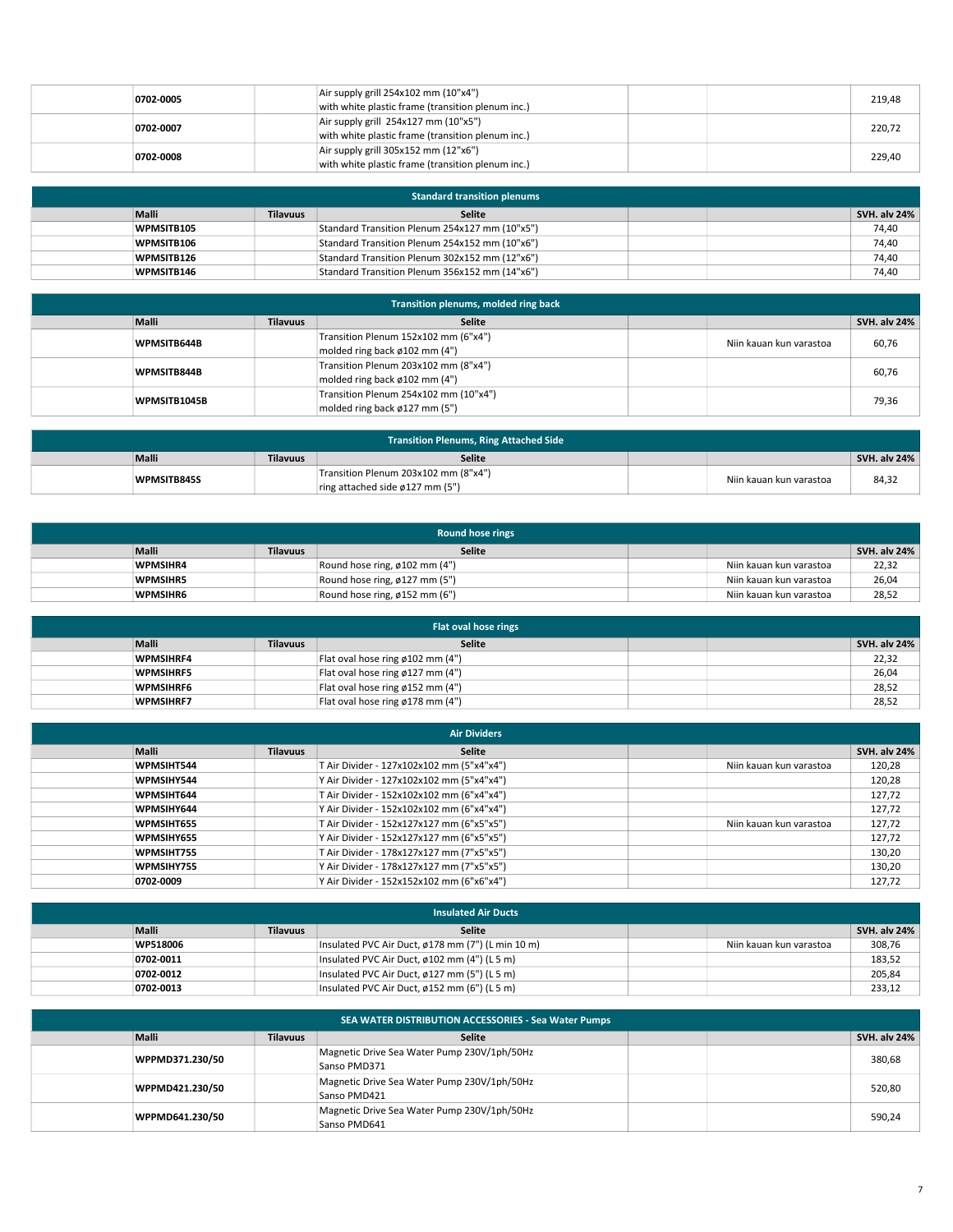| 0702-0005 | Air supply grill $254x102$ mm $(10"x4")$<br>with white plastic frame (transition plenum inc.) | 219,48 |
|-----------|-----------------------------------------------------------------------------------------------|--------|
| 0702-0007 | Air supply grill 254x127 mm (10"x5")<br>with white plastic frame (transition plenum inc.)     | 220,72 |
| 0702-0008 | Air supply grill $305x152$ mm $(12"x6")$<br>with white plastic frame (transition plenum inc.) | 229,40 |

| <b>Standard transition plenums</b> |            |                 |                                                |              |  |  |  |
|------------------------------------|------------|-----------------|------------------------------------------------|--------------|--|--|--|
|                                    | Malli      | <b>Tilavuus</b> | <b>Selite</b>                                  | SVH. alv 24% |  |  |  |
|                                    | WPMSITB105 |                 | Standard Transition Plenum 254x127 mm (10"x5") | 74,40        |  |  |  |
|                                    | WPMSITB106 |                 | Standard Transition Plenum 254x152 mm (10"x6") | 74,40        |  |  |  |
|                                    | WPMSITB126 |                 | Standard Transition Plenum 302x152 mm (12"x6") | 74,40        |  |  |  |
|                                    | WPMSITB146 |                 | Standard Transition Plenum 356x152 mm (14"x6") | 74,40        |  |  |  |

| Transition plenums, molded ring back |                    |                 |                                                                        |                         |                     |  |  |  |
|--------------------------------------|--------------------|-----------------|------------------------------------------------------------------------|-------------------------|---------------------|--|--|--|
|                                      | Malli              | <b>Tilavuus</b> | <b>Selite</b>                                                          |                         | <b>SVH. alv 24%</b> |  |  |  |
|                                      | <b>WPMSITB644B</b> |                 | Transition Plenum 152x102 mm (6"x4")<br>molded ring back ø102 mm (4")  | Niin kauan kun varastoa | 60,76               |  |  |  |
|                                      | WPMSITB844B        |                 | Transition Plenum 203x102 mm (8"x4")<br>molded ring back ø102 mm (4")  |                         | 60,76               |  |  |  |
|                                      | WPMSITB1045B       |                 | Transition Plenum 254x102 mm (10"x4")<br>molded ring back ø127 mm (5") |                         | 79,36               |  |  |  |

| <b>Transition Plenums, Ring Attached Side</b> |                    |                 |                                                                         |  |                         |                     |  |
|-----------------------------------------------|--------------------|-----------------|-------------------------------------------------------------------------|--|-------------------------|---------------------|--|
|                                               | <b>Malli</b>       | <b>Tilavuus</b> | <b>Selite</b>                                                           |  |                         | <b>SVH. alv 24%</b> |  |
|                                               | <b>WPMSITB845S</b> |                 | Transition Plenum 203x102 mm (8"x4")<br>ring attached side ø127 mm (5") |  | Niin kauan kun varastoa | 84,32               |  |

| <b>Round hose rings</b> |                 |                 |                               |  |                         |                     |  |  |
|-------------------------|-----------------|-----------------|-------------------------------|--|-------------------------|---------------------|--|--|
|                         | Malli           | <b>Tilavuus</b> | <b>Selite</b>                 |  |                         | <b>SVH. alv 24%</b> |  |  |
|                         | <b>WPMSIHR4</b> |                 | Round hose ring, ø102 mm (4") |  | Niin kauan kun varastoa | 22,32               |  |  |
|                         | <b>WPMSIHR5</b> |                 | Round hose ring, ø127 mm (5") |  | Niin kauan kun varastoa | 26,04               |  |  |
|                         | <b>WPMSIHR6</b> |                 | Round hose ring, ø152 mm (6") |  | Niin kauan kun varastoa | 28,52               |  |  |

| Flat oval hose rings |                          |                                  |  |              |  |  |  |
|----------------------|--------------------------|----------------------------------|--|--------------|--|--|--|
|                      | Malli<br><b>Tilavuus</b> | <b>Selite</b>                    |  | SVH. alv 24% |  |  |  |
|                      | <b>WPMSIHRF4</b>         | Flat oval hose ring ø102 mm (4") |  | 22,32        |  |  |  |
|                      | <b>WPMSIHRF5</b>         | Flat oval hose ring ø127 mm (4") |  | 26,04        |  |  |  |
|                      | <b>WPMSIHRF6</b>         | Flat oval hose ring ø152 mm (4") |  | 28,52        |  |  |  |
|                      | <b>WPMSIHRF7</b>         | Flat oval hose ring ø178 mm (4") |  | 28,52        |  |  |  |

| <b>Air Dividers</b> |                 |                                           |                         |                     |  |  |  |  |
|---------------------|-----------------|-------------------------------------------|-------------------------|---------------------|--|--|--|--|
| Malli               | <b>Tilavuus</b> | <b>Selite</b>                             |                         | <b>SVH. alv 24%</b> |  |  |  |  |
| WPMSIHT544          |                 | T Air Divider - 127x102x102 mm (5"x4"x4") | Niin kauan kun varastoa | 120,28              |  |  |  |  |
| WPMSIHY544          |                 | Y Air Divider - 127x102x102 mm (5"x4"x4") |                         | 120,28              |  |  |  |  |
| WPMSIHT644          |                 | T Air Divider - 152x102x102 mm (6"x4"x4") |                         | 127,72              |  |  |  |  |
| WPMSIHY644          |                 | Y Air Divider - 152x102x102 mm (6"x4"x4") |                         | 127,72              |  |  |  |  |
| WPMSIHT655          |                 | T Air Divider - 152x127x127 mm (6"x5"x5") | Niin kauan kun varastoa | 127,72              |  |  |  |  |
| WPMSIHY655          |                 | Y Air Divider - 152x127x127 mm (6"x5"x5") |                         | 127,72              |  |  |  |  |
| WPMSIHT755          |                 | T Air Divider - 178x127x127 mm (7"x5"x5") |                         | 130,20              |  |  |  |  |
| WPMSIHY755          |                 | Y Air Divider - 178x127x127 mm (7"x5"x5") |                         | 130,20              |  |  |  |  |
| 0702-0009           |                 | Y Air Divider - 152x152x102 mm (6"x6"x4") |                         | 127,72              |  |  |  |  |

| <b>Insulated Air Ducts</b> |           |                 |                                                   |  |                         |                     |  |  |
|----------------------------|-----------|-----------------|---------------------------------------------------|--|-------------------------|---------------------|--|--|
|                            | Malli     | <b>Tilavuus</b> | Selite                                            |  |                         | <b>SVH. alv 24%</b> |  |  |
|                            | WP518006  |                 | Insulated PVC Air Duct, ø178 mm (7") (L min 10 m) |  | Niin kauan kun varastoa | 308,76              |  |  |
|                            | 0702-0011 |                 | Insulated PVC Air Duct, ø102 mm (4") (L 5 m)      |  |                         | 183,52              |  |  |
|                            | 0702-0012 |                 | Insulated PVC Air Duct, ø127 mm (5") (L 5 m)      |  |                         | 205,84              |  |  |
|                            | 0702-0013 |                 | Insulated PVC Air Duct, ø152 mm (6") (L 5 m)      |  |                         | 233,12              |  |  |

| SEA WATER DISTRIBUTION ACCESSORIES - Sea Water Pumps |                 |                 |                                                             |  |                     |  |  |  |
|------------------------------------------------------|-----------------|-----------------|-------------------------------------------------------------|--|---------------------|--|--|--|
|                                                      | Malli           | <b>Tilavuus</b> | <b>Selite</b>                                               |  | <b>SVH. alv 24%</b> |  |  |  |
|                                                      | WPPMD371.230/50 |                 | Magnetic Drive Sea Water Pump 230V/1ph/50Hz<br>Sanso PMD371 |  | 380,68              |  |  |  |
|                                                      | WPPMD421.230/50 |                 | Magnetic Drive Sea Water Pump 230V/1ph/50Hz<br>Sanso PMD421 |  | 520,80              |  |  |  |
|                                                      | WPPMD641.230/50 |                 | Magnetic Drive Sea Water Pump 230V/1ph/50Hz<br>Sanso PMD641 |  | 590,24              |  |  |  |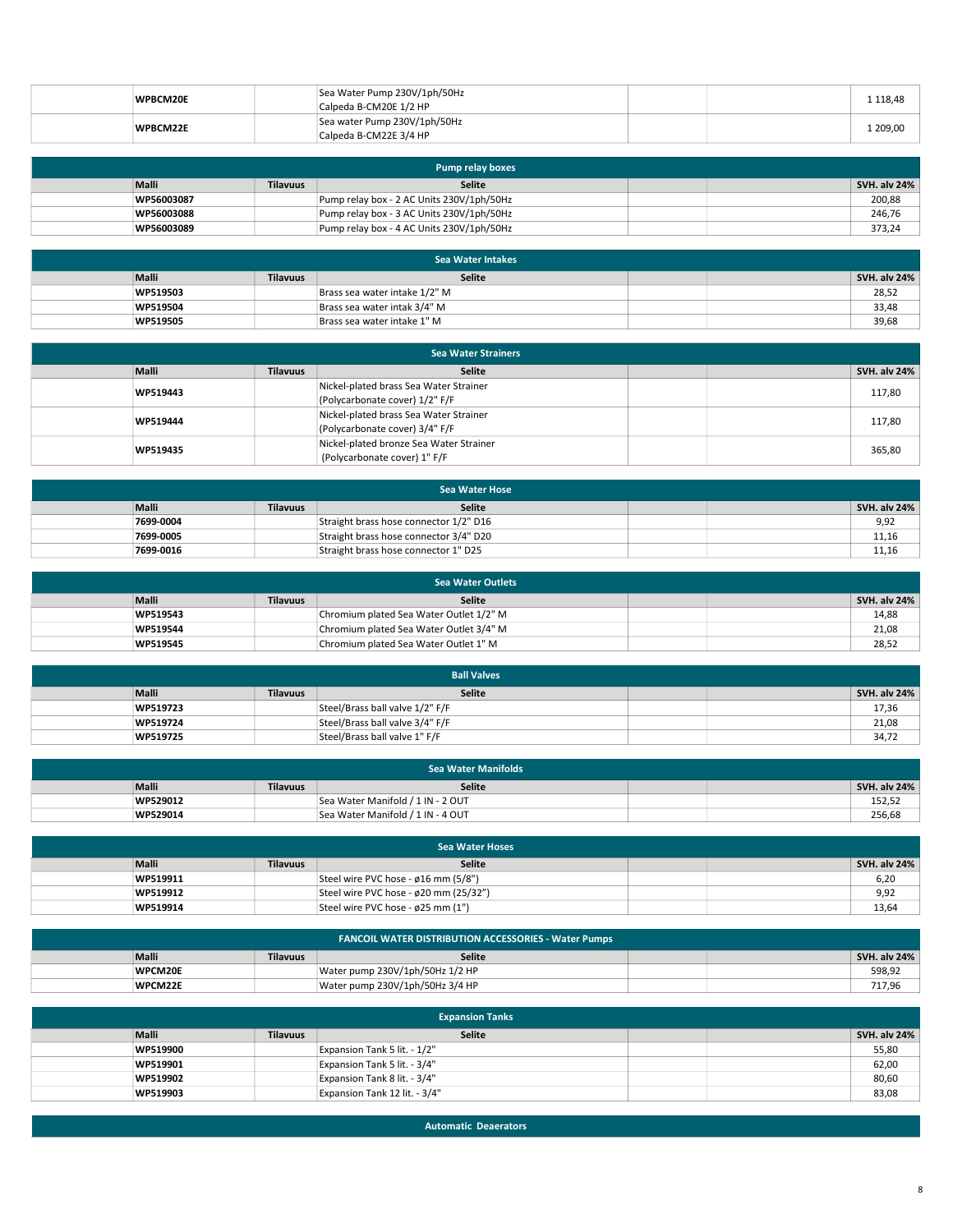| WPBCM20E | Sea Water Pump 230V/1ph/50Hz<br>Calpeda B-CM20E 1/2 HP |  | 118.48   |
|----------|--------------------------------------------------------|--|----------|
| WPBCM22E | Sea water Pump 230V/1ph/50Hz<br>Calpeda B-CM22E 3/4 HP |  | 1 209,00 |

| <b>Pump relay boxes</b> |            |                 |                                           |  |  |                     |  |
|-------------------------|------------|-----------------|-------------------------------------------|--|--|---------------------|--|
|                         | Malli      | <b>Tilavuus</b> | <b>Selite</b>                             |  |  | <b>SVH. alv 24%</b> |  |
|                         | WP56003087 |                 | Pump relay box - 2 AC Units 230V/1ph/50Hz |  |  | 200,88              |  |
|                         | WP56003088 |                 | Pump relay box - 3 AC Units 230V/1ph/50Hz |  |  | 246,76              |  |
|                         | WP56003089 |                 | Pump relay box - 4 AC Units 230V/1ph/50Hz |  |  | 373,24              |  |

| Sea Water Intakes |                          |                               |  |  |               |  |  |  |
|-------------------|--------------------------|-------------------------------|--|--|---------------|--|--|--|
|                   | Malli<br><b>Tilavuus</b> | <b>Selite</b>                 |  |  | SVII. alv 24% |  |  |  |
|                   | WP519503                 | Brass sea water intake 1/2" M |  |  | 28,52         |  |  |  |
|                   | WP519504                 | Brass sea water intak 3/4" M  |  |  | 33,48         |  |  |  |
|                   | WP519505                 | Brass sea water intake 1" M   |  |  | 39,68         |  |  |  |

| <b>Sea Water Strainers</b> |                          |                                                                          |  |                     |  |  |  |  |
|----------------------------|--------------------------|--------------------------------------------------------------------------|--|---------------------|--|--|--|--|
|                            | Malli<br><b>Tilavuus</b> | <b>Selite</b>                                                            |  | <b>SVH. alv 24%</b> |  |  |  |  |
|                            | WP519443                 | Nickel-plated brass Sea Water Strainer<br>(Polycarbonate cover) 1/2" F/F |  | 117,80              |  |  |  |  |
|                            | WP519444                 | Nickel-plated brass Sea Water Strainer<br>(Polycarbonate cover) 3/4" F/F |  | 117,80              |  |  |  |  |
|                            | WP519435                 | Nickel-plated bronze Sea Water Strainer<br>(Polycarbonate cover) 1" F/F  |  | 365,80              |  |  |  |  |

| Sea Water Hose |           |                 |                                        |  |               |  |  |  |
|----------------|-----------|-----------------|----------------------------------------|--|---------------|--|--|--|
|                | Malli     | <b>Tilavuus</b> | <b>Selite</b>                          |  | SVII. alv 24% |  |  |  |
|                | 7699-0004 |                 | Straight brass hose connector 1/2" D16 |  | 9,92          |  |  |  |
|                | 7699-0005 |                 | Straight brass hose connector 3/4" D20 |  | 11,16         |  |  |  |
|                | 7699-0016 |                 | Straight brass hose connector 1" D25   |  | 11,16         |  |  |  |

| <b>Sea Water Outlets</b> |              |                 |                                         |  |                     |  |  |  |  |
|--------------------------|--------------|-----------------|-----------------------------------------|--|---------------------|--|--|--|--|
|                          | <b>Malli</b> | <b>Tilavuus</b> | <b>Selite</b>                           |  | <b>SVH. alv 24%</b> |  |  |  |  |
|                          | WP519543     |                 | Chromium plated Sea Water Outlet 1/2" M |  | 14,88               |  |  |  |  |
|                          | WP519544     |                 | Chromium plated Sea Water Outlet 3/4" M |  | 21,08               |  |  |  |  |
|                          | WP519545     |                 | Chromium plated Sea Water Outlet 1" M   |  | 28,52               |  |  |  |  |

| <b>Ball Valves</b> |              |                 |                                 |  |              |  |  |  |
|--------------------|--------------|-----------------|---------------------------------|--|--------------|--|--|--|
|                    | <b>Malli</b> | <b>Tilavuus</b> | <b>Selite</b>                   |  | SVH. alv 24% |  |  |  |
|                    | WP519723     |                 | Steel/Brass ball valve 1/2" F/F |  | 17,36        |  |  |  |
|                    | WP519724     |                 | Steel/Brass ball valve 3/4" F/F |  | 21,08        |  |  |  |
|                    | WP519725     |                 | Steel/Brass ball valve 1" F/F   |  | 34,72        |  |  |  |

| <b>Sea Water Manifolds</b> |                                   |  |                     |  |  |  |  |  |
|----------------------------|-----------------------------------|--|---------------------|--|--|--|--|--|
| Malli<br><b>Tilavuus</b>   | <b>Selite</b>                     |  | <b>SVH. alv 24%</b> |  |  |  |  |  |
| WP529012                   | Sea Water Manifold / 1 IN - 2 OUT |  | 152,52              |  |  |  |  |  |
| WP529014                   | Sea Water Manifold / 1 IN - 4 OUT |  | 256,68              |  |  |  |  |  |

| <b>Sea Water Hoses</b> |          |                 |                                       |  |  |               |  |  |
|------------------------|----------|-----------------|---------------------------------------|--|--|---------------|--|--|
|                        | Malli    | <b>Tilavuus</b> | <b>Selite</b>                         |  |  | SVII. alv 24% |  |  |
|                        | WP519911 |                 | Steel wire PVC hose - ø16 mm (5/8")   |  |  | 6,20          |  |  |
|                        | WP519912 |                 | Steel wire PVC hose - ø20 mm (25/32") |  |  | 9,92          |  |  |
|                        | WP519914 |                 | Steel wire PVC hose - ø25 mm (1")     |  |  | 13,64         |  |  |

| <b>FANCOIL WATER DISTRIBUTION ACCESSORIES - Water Pumps</b> |              |                 |                                 |  |                     |  |  |  |
|-------------------------------------------------------------|--------------|-----------------|---------------------------------|--|---------------------|--|--|--|
|                                                             | <b>Malli</b> | <b>Tilavuus</b> | <b>Selite</b>                   |  | <b>SVH. alv 24%</b> |  |  |  |
|                                                             | WPCM20E      |                 | Water pump 230V/1ph/50Hz 1/2 HP |  | 598,92              |  |  |  |
|                                                             | WPCM22E      |                 | Water pump 230V/1ph/50Hz 3/4 HP |  | 717.96              |  |  |  |

| <b>Expansion Tanks</b> |          |                 |                               |  |                     |  |  |
|------------------------|----------|-----------------|-------------------------------|--|---------------------|--|--|
|                        | Malli    | <b>Tilavuus</b> | <b>Selite</b>                 |  | <b>SVH. alv 24%</b> |  |  |
|                        | WP519900 |                 | Expansion Tank 5 lit. - 1/2"  |  | 55,80               |  |  |
|                        | WP519901 |                 | Expansion Tank 5 lit. - 3/4"  |  | 62,00               |  |  |
|                        | WP519902 |                 | Expansion Tank 8 lit. - 3/4"  |  | 80,60               |  |  |
|                        | WP519903 |                 | Expansion Tank 12 lit. - 3/4" |  | 83,08               |  |  |

Automatic Deaerators